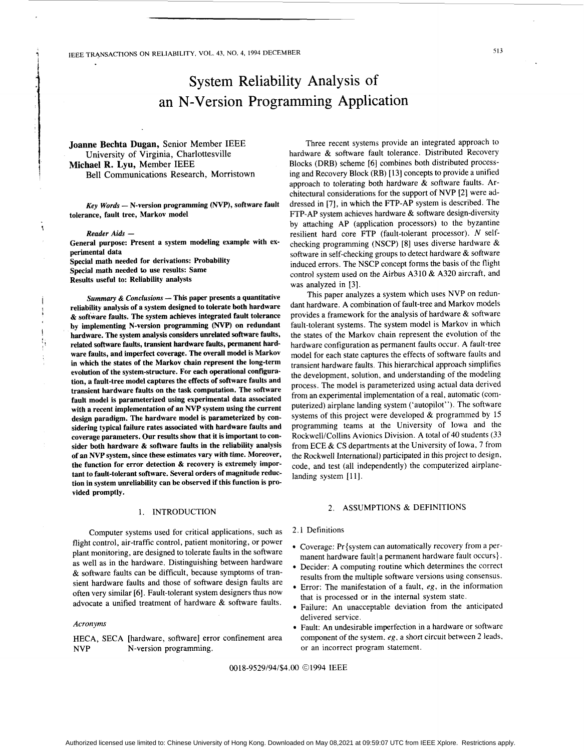# System Reliability Analysis of an N-Version Programming Application

# **Joanne Bechta Dugan,** Senior Member IEEE University of Virginia, Charlottesville **Michael R. Lyu,** Member IEEE Bell Communications Research, Morristown

 $Key Words - N-version programming (NVP)$ , software fault tolerance, fault tree, Markov model

À

*Reader Aids* —<br>General purpose: Present a system modeling example with experimental data

Special math needed for derivations: Probability Special math needed to use results: Same Results useful to: Reliability analysts

*Summary & Conclusions* - This paper presents a quantitative reliability analysis of a system designed to tolerate both hardware & software faults. The system achieves integrated fault tolerance by implementing N-version programming (NVP) on redundant hardware. The system analysis considers unrelated software faults, related software faults, transient hardware faults, permanent hardware faults, and imperfect coverage. The overall model is Markov in which the states of the Markov chain represent the long-term evolution of the system-structure. For each operational configuration, a fault-tree model captures the effects of software faults and transient hardware faults on the task computation. The software fault model is parameterized using experimental data associated with a recent implementation of an NVP system using the current design paradigm. The hardware model is parameterized by considering typical failure rates associated with hardware faults and coverage parameters. Our results show that it is important to consider both hardware & software faults in the reliability analysis of an NVP system, since these estimates vary with time. Moreover, the function for error detection & recovery is extremely important to fault-tolerant software. Several orders of magnitude reduction in system unreliability can be observed if this function is provided promptly.

#### 1. INTRODUCTION

Computer systems used for critical applications, such as flight control, air-traffic control, patient monitoring, or power plant monitoring, are designed to tolerate faults in the software as well as in the hardware. Distinguishing between hardware & software faults can be difficult, because symptoms of transient hardware faults and those of software design faults are often very similar [6]. Fault-tolerant system designers thus now advocate a unified treatment of hardware & software faults.

#### *Acronyms*

HECA, SECA [hardware, software] error confinement area NVP N-version programming.

Three recent systems provide an integrated approach to hardware & software fault tolerance. Distributed Recovery Blocks (DRB) scheme *[6]* combines both distributed processing and Recovery Block (RB) [ 131 concepts to provide a unified approach to tolerating both hardware & software faults. Architectural considerations for the support of NVP [2J were addressed in 171, in which the FTP-AP system is described. The FTP-AP system achieves hardware & software design-diversity by attaching AP (application processors) to the byzantine resilient hard core FTP (fault-tolerant processor). *N* selfchecking programming (NSCP) [8] uses diverse hardware & software in self-checking groups to detect hardware & software induced errors. The NSCP concept forms the basis of the flight control system used on the Airbus A310 & A320 aircraft, and was analyzed in [3].

This paper analyzes a system which uses NVP on redundant hardware. **A** combination of fault-tree and Markov models provides a framework for the analysis of hardware & software fault-tolerant systems. The system model is Markov in which the states of the Markov chain represent the evolution of the hardware configuration as permanent faults occur. A fault-tree model for each state captures the effects of software faults and transient hardware faults. This hierarchical approach simplifies the development, solution, and understanding of the modeling process. The model is parameterized using actual data derived from an experimental implementation of a real, automatic (computerized) airplane landing system ('autopilot"). The software systems of this project were developed & programmed by 15 programming teams at the University of Iowa and the Rockwell/Collins Avionics Division. A total of 40 students (33 from ECE & CS departments at the University of Iowa, 7 from the Rockwell International) participated in this project to design, code, and test (all independently) the computerized airplanelanding system [11].

# 2. ASSUMPTIONS & DEFINITIONS

- 2.1 Definitions
- Coverage: Pr{system can automatically recovery from a permanent hardware fault | a permanent hardware fault occurs }.
- Decider: A computing routine which determines the correct results from the multiple software versions using consensus.
- Error: The manifestation of a fault,  $eg$ , in the information that is processed or in the internal system state.
- Failure: An unacceptable deviation from the anticipated delivered service.
- Fault: An undesirable imperfection in a hardware or software component of the system. eg. a short circuit between 2 leads, or an incorrect program statement.

0018-9529/94/\$4.00 ©1994 IEEE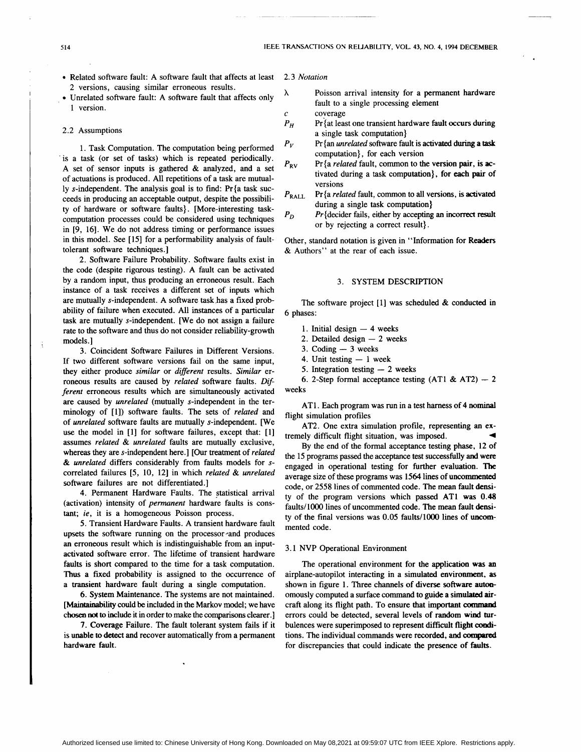- Related software fault: A software fault that affects at least 2.3 *Notation*  2 versions, causing similar erroneous results.
- Unrelated software fault: A software fault that affects only 1 version.

#### 2.2 Assumptions

1. Task Computation. The computation being performed is a task (or set of tasks) which is repeated periodically. A set of sensor inputs is gathered & analyzed, and a set of actuations is produced. All repetitions of a task are mutually s-independent. The analysis goal is to find: Pr{a task succeeds in producing an acceptable output, despite the possibility of hardware or software faults}. [More-interesting taskcomputation processes could be considered using techniques in [9, 161. We do not address timing or performance issues in this model. See [15] for a performability analysis *of* faulttolerant software techniques.]

2. Software Failure Probability. Software faults exist in the code (despite rigarous testing). A fault can be activated by a random input, thus producing an erroneous result. Each instance of a task receives a different set of inputs which are mutually s-independent. A software task has a fixed probability of failure when executed. All instances of a particular task are mutually s-independent. [We do not assign a failure rate to the software and thus do not consider reliability-growth models.]

3. Coincident Software Failures in Different Versions. If two different software versions fail on the same input, they either produce *similar* or *diferent* results. *Similar* erroneous results are caused by *related* software faults. Dif*ferent* erroneous results which are simultaneously activated are caused by *unrelated* (mutually s-independent in the terminology of [l]) software faults. The sets of *related* and of *unrelated* software faults are mutually s-independent. [We use the model in [l] for software failures, except that: [l] assumes *related* & *unrelated* faults are mutually exclusive, whereas they are s-independent here.] [Our treatment of *related*  & *unrelated* differs considerably from faults models for **s**correlated failures [5, 10, 121 in which *related* & *unrelated*  software failures are not differentiated.]

**4.** Permanent Hardware Faults. The statistical arrival (activation) intensity of *permanent* hardware faults is constant; *ie,* it is a homogeneous Poisson process.

*5.* Transient Hardware Faults. A transient hardware fault upsets the software running on the processor and produces **an** erroneous result which is indistinguishable from an inputactivated software error. The lifetime of transient hardware faults is short compared to the time for a task computation. **Thus** a fixed probability is assigned to the occurrence of a transient hardware fault during a single computation.

6. System Maintenance. The systems are not maintained. [Maintainability could be included in the Markov model; we have chosen **not to** include it in order to make the comparisons clearer.]

**7.** Coverage Failure. The fault tolerant system fails if it is unable **to** detect and recover automatically from a permanent hardware fault.

- $\lambda$ *c* coverage Poisson arrival intensity for a permanent hardware fault to a single processing element
- *PH*  Pr { at least one transient hardware fault occurs during a single task computation}
- *Pv*  Pr { **an** *unrelated* software fault is activated *dunng* a **task**  computation}, for each version
- $P_{\rm RV}$ Pr{a *related* fault, common to the version pair, is **ac**tivated during a task computation), for **each** pair of versions
- Pr{a *related* fault, common to **all** versions, is activated during a single task computation}  $P_{\text{RALL}}$
- Pr{decider fails, either by accepting **an** incorrect result or by rejecting a correct result}. *Po*

Other, standard notation is given in "Information for **Readers**  & Authors" at the rear of each issue.

## 3. SYSTEM DESCRIPTION

The software project [l] was scheduled & conducted in 6 phases:

- 1. Initial design  $-4$  weeks
- 2. Detailed design  $-2$  weeks
- 3. Coding  $-3$  weeks
- 4. Unit testing  $-1$  week
- 5. Integration testing  $-2$  weeks
- 6. 2-Step formal acceptance testing  $(AT1 & AT2) 2$ weeks

AT1. Each program was run in a test harness of **4** nominal flight simulation profiles

**AT2.** One extra simulation profile, representing **an ex**tremely difficult flight situation, was imposed. **4** 

By the end of the formal acceptance testing phase, **12** of the 15 programs passed the acceptance test successfully and were engaged in operational testing for further evaluation. The average size of these programs was 1564 lines of uncommented code, or 2558 lines of commented code. The mean fault density of the program versions which passed AT1 was **0.48**  faults/1000 lines of uncommented code. The mean fault density of the final versions was 0.05 faults/lOOO lines of uncommented code.

#### 3.1 NVP Operational Environment

The operational environment for the application **was an**  airplane-autopilot interacting in a simulated environment. **as**  shown in [figure 1.](#page-2-0) Three channels of diverse **software auton**omously computed a surface command to **guide** a **simulated** airentity computed a statiace command of gathe a simulate and craft along its flight path. To ensure that important command errors could be detected, several levels of random wind turbulences were superimposed to represent di errors could be detected, several levels of **random** wind **tur**tions. The individual commands were recorded, **and** *compprrd*  for discrepancies that could indicate the presence of **faults.** 

Î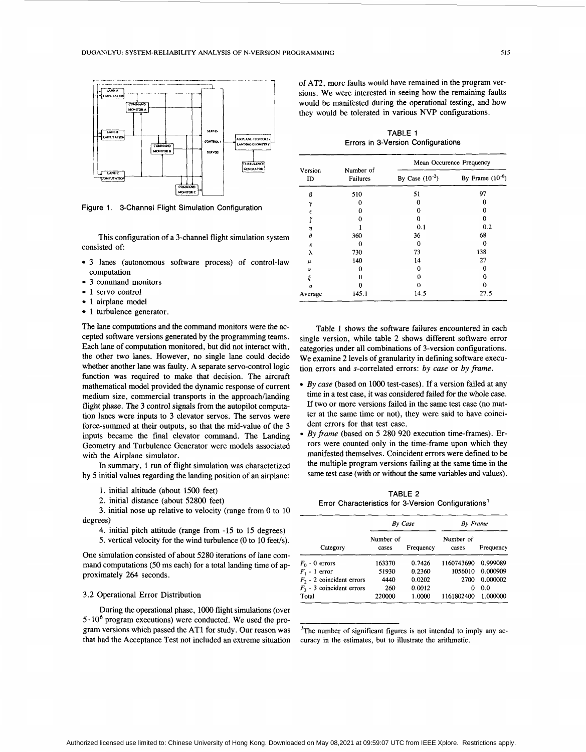<span id="page-2-0"></span>

Figure 1. 3-Channel Flight Simulation Configuration

- 3 lanes (autonomous software process) of control-law
- 3 command monitors
- **1** servo control
- 1 airplane model
- 1 turbulence generator.

The lane computations and the command monitors were the accepted software versions generated by the programming teams. Each lane of computation monitored, but did not interact with, the other two lanes. However, no single lane could decide whether another lane was faulty. A separate servo-control logic function was required to make that decision. The aircraft mathematical model provided the dynamic response of current medium size, commercial transports in the approach/landing flight phase. The **3** control signals from the autopilot computation lanes were inputs to 3 elevator servos. The servos were force-summed at their outputs, *so* that the mid-value of the 3 inputs became the final elevator command. The Landing Geometry and Turbulence Generator were models associated with the Airplane simulator.

In summary, 1 run of flight simulation was characterized by 5 initial values regarding the landing position of **an** airplane:

- 1. initial altitude (about 1500 feet)
- 2. initial distance (about 52800 feet)

3. initial nose up relative to velocity (range from 0 to 10 degrees)

- 4. initial pitch attitude (range from -15 to 15 degrees)
- 5. vertical velocity for the wind turbulence (0 to 10 feet/s) .

One simulation consisted of about 5280 iterations of lane command computations (50 ms each) for a total landing time of ap $proximately 264 seconds.$ 

# 3.2 Operational Error Distribution

During the operational phase, 1000 flight simulations (over  $5.10<sup>6</sup>$  program executions) were conducted. We used the program versions which passed the AT1 for study. Our reason was that had the Acceptance Test not included an extreme situation of AT2, more faults would have remained in the program versions. We were interested in seeing how the remaining faults would be manifested during the operational testing, and how they would be tolerated in various **NVP** configurations.

TABLE 1 Errors in 3-Version Configurations

| <b>TL'RBULENCE</b><br><b>GENERATOR</b>                     |               | Number of<br>Failures | Mean Occurence Frequency |                      |  |
|------------------------------------------------------------|---------------|-----------------------|--------------------------|----------------------|--|
| <b>LANEC</b><br><b>OMPUTATION</b>                          | Version<br>ID |                       | By Case $(10^{-2})$      | By Frame $(10^{-6})$ |  |
| <b>COMMAND</b><br>MONITOR C                                |               | 510                   | 51                       | 97                   |  |
|                                                            |               |                       |                          |                      |  |
| gure 1. 3-Channel Flight Simulation Configuration          |               |                       |                          |                      |  |
|                                                            |               |                       |                          |                      |  |
|                                                            |               |                       | 0.1                      | 0.2                  |  |
| This configuration of a 3-channel flight simulation system |               | 360                   | 36                       | 68                   |  |
| nsisted of:                                                |               |                       |                          |                      |  |
|                                                            |               | 730                   | 73                       | 138                  |  |
| 3 lanes (autonomous software process) of control-law       |               | 140                   | 14                       | 27                   |  |
| computation                                                |               |                       |                          |                      |  |
|                                                            |               |                       |                          |                      |  |
| 3 command monitors                                         |               |                       |                          |                      |  |
| 1 servo control<br>.                                       | Average       | 145.1                 | 14.5                     | 27.5                 |  |

Table 1 shows the software failures encountered in each single version, while table 2 shows different software error categories under all combinations of 3-version configurations. We examine **2** levels of granularity in defining software execution errors and *s*-correlated errors: *by case* or *by frame*.

- By case (based on 1000 test-cases). If a version failed at any time in a test case, it was considered failed for the whole case. If two or more versions failed in the same test case (no matter at the same time or not), they were said to have coincident errors for that test case.
- *Byframe* (based on *5* 280 920 execution time-frames). Errors were counted only in the time-frame upon which they manifested themselves. Coincident errors were defined to be the multiple program versions failing at the same time in the same test case (with or without the same variables and values).

TABLE 2 Error Characteristics for 3-Version Configurations'

|                             |                    | By Case   | By Frame           |           |
|-----------------------------|--------------------|-----------|--------------------|-----------|
| Category                    | Number of<br>cases | Frequency | Number of<br>cases | Frequency |
| $F_0$ - 0 errors            | 163370             | 0.7426    | 1160743690         | 0.999089  |
| $F_1$ - 1 error             | 51930              | 0.2360    | 1056010            | 0.000909  |
| $F2$ - 2 coincident errors  | 4440               | 0.0202    | 2700               | 0.000002  |
| $F_3$ - 3 coincident errors | 260                | 0.0012    | Ω                  | 0.0       |
| Total                       | 220000             | 1.0000    | 1161802400         | 1.000000  |

**'The number** of **significant figures is not intended to imply any accuracy in the estimates, but to illustrate the arithmetic.**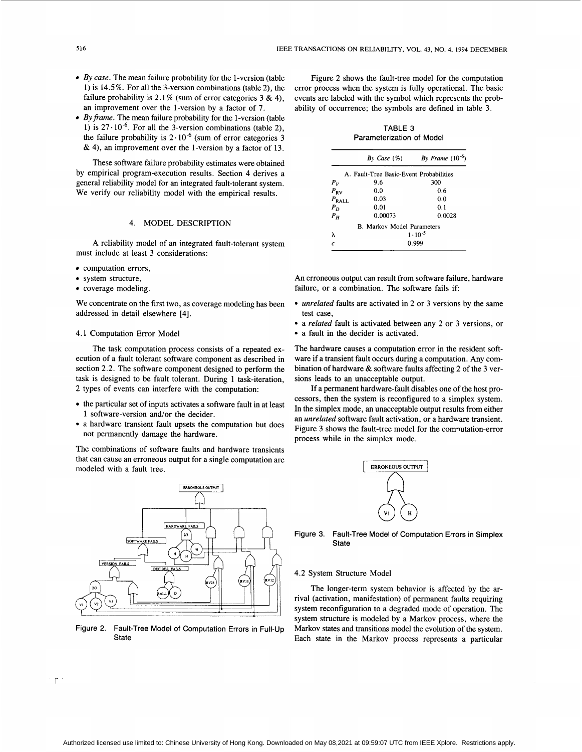- <span id="page-3-0"></span>*By case.* The mean failure probability for the 1-version (table 1) is 14.5%. For all the 3-version combinations (table 2), the failure probability is 2.1% (sum of error categories  $3 \& 4$ ), an improvement over the 1-version by a factor of 7.
- *Byframe.* The mean failure probability for the 1-version (table 1) is  $27 \cdot 10^{-6}$ . For all the 3-version combinations (table 2), the failure probability is  $2 \cdot 10^{-6}$  (sum of error categories 3 & 4), an improvement over the 1-version by a factor of 13.

These software failure probability estimates were obtained by empirical program-execution results. Section 4 derives a general reliability model for an integrated fault-tolerant system. We verify our reliability model with the empirical results.

## 4. MODEL DESCRIPTION

A reliability model of an integrated fault-tolerant system must include at least 3 considerations:

- computation errors,
- system structure,
- coverage modeling.

We concentrate on the first two, as coverage modeling has been addressed in detail elsewhere [4].

### 4.1 Computation Error Model

The task computation process consists of a repeated execution of a fault tolerant software component as described in section 2.2. The software component designed to perform the task is designed to be fault tolerant. During 1 task-iteration, 2 types of events can interfere with the computation:

- the particular set of inputs activates a software fault in at least 1 software-version and/or the decider.
- a hardware transient fault upsets the computation but does not permanently damage the hardware.

The combinations of software faults and hardware transients that can cause an erroneous output for a single computation are modeled with a fault tree.



Figure 2. Fault-Tree Model **of** Computation Errors in Full-Up **State** 

 $\Gamma$ 

Figure 2 shows the fault-tree model for the computation error process when the system is fully operational. The basic events are labeled with the symbol which represents the probability of occurrence; the symbols are defined in table 3.

TABLE 3 Parameterization of Model

|                    | $Bv$ Case $(\%)$                        | By Frame $(10^{-6})$ |  |
|--------------------|-----------------------------------------|----------------------|--|
|                    | A. Fault-Tree Basic-Event Probabilities |                      |  |
| $P_V$              | 9.6                                     | 300                  |  |
| $P_{\rm RV}$       | 0.0                                     | 0.6                  |  |
| $P_{\rm RALL}$     | 0.03                                    | 0.0                  |  |
| $\boldsymbol{P}_D$ | 0.01                                    | 0.1                  |  |
| $P_H$              | 0.00073                                 | 0.0028               |  |
|                    | <b>B.</b> Markov Model Parameters       |                      |  |
| λ                  | $1 \cdot 10^{-5}$                       |                      |  |
| c                  | 0.999                                   |                      |  |

An erroneous output can result from software failure, hardware failure, or a combination. The software fails if

- *unrelated* faults are activated in 2 or 3 versions by the same test case,
- a *related* fault is activated between any 2 or 3 versions, or
- a fault in the decider is activated.

The hardware causes a computation error in the resident software if a transient fault occurs during a computation. Any combination of hardware & software faults affecting 2 of the 3 versions leads to an unacceptable output.

If a permanent hardware-fault disables one of the host processors, then the system is reconfigured to a simplex system. In the simplex mode, an unacceptable output results from either an *unrelated* software fault activation, or a hardware transient. Figure 3 shows the fault-tree model for the comnutation-error process while in the simplex mode. dware-fault disables one of<br>m is reconfigured to a simplement of the simplement of the simplement of a simplement of the community of the community of the community of the community of the community of the community of  $\bl$ 



Figure 3. Fault-Tree Model of Computation Errors in Simplex **State** 

#### 4.2 System Structure Model

The longer-term system behavior is affected by the arrival (activation, manifestation) of permanent faults requiring system reconfiguration to a degraded mode of operation. The system structure is modeled by a Markov process, where the Markov states and transitions model the evolution of the system. Each state in the Markov process represents a particular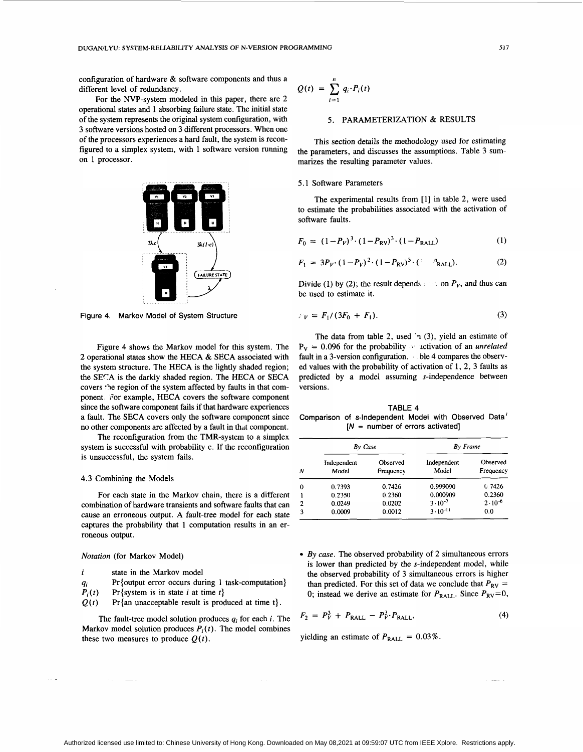configuration of hardware & software components and thus a different level of redundancy.

For the NVP-system modeled in this paper, there are 2 operational states and 1 absorbing failure state. The initial state of the system represents the original system configuration, with 3 software versions hosted on 3 different processors. When one of the processors experiences a hard fault, the system is reconfigured to a simplex system, with 1 software version running on 1 processor.



**Figure 4. Markov Model** of **System Structure** 

Figure **4** shows the Markov model for this system. The 2 operational states show the HECA & SECA associated with the system structure. The HECA is the lightly shaded region; the SECA is the darkly shaded region. The HECA or SECA covers the region of the system affected by faults in that component For example, HECA covers the software component since the software component fails if that hardware experiences a fault. The SECA covers only the software component since no other components are affected by a fault in that component.

The reconfiguration from the TMR-system to a simplex system is successful with probability c. If the reconfiguration is unsuccessful, the system fails.

#### **4.3** Combining the Models

For each state in the Markov chain, there is a different combination of hardware transients and software faults that can cause an erroneous output. A fault-tree model for each state captures the probability that 1 computation results in an erroneous output.

#### *Notation* (for Markov Model)

- i state in the Markov model
- *qi*  Pr { output error occurs during 1 task-computation}
- $P_i(t)$ Pr{system is in state i at time *t}*
- $Q(t)$ Pr **{an** unacceptable result is produced at time t} .

The fault-tree model solution produces *qi* for each *i.* The Markov model solution produces  $P_i(t)$ . The model combines these two measures to produce  $Q(t)$ . yielding an estimate of  $P_{\text{RALL}} = 0.03\%$ .

$$
Q(t) = \sum_{i=1}^{n} q_i \cdot P_i(t)
$$

⟨

# 5. PARAMETERIZATION & RESULTS

This section details the methodology used for estimating the parameters, and discusses the assumptions. [Table 3](#page-3-0) summarizes the resulting parameter values.

#### 5.1 Software Parameters

The experimental results from [l] in table 2, were used to estimate the probabilities associated with the activation of software faults.

$$
F_0 = (1 - P_V)^3 \cdot (1 - P_{\text{RV}})^3 \cdot (1 - P_{\text{RAL}})
$$
 (1)

$$
F_1 = 3P_V \cdot (1 - P_V)^2 \cdot (1 - P_{RV})^3 \cdot (1 - P_{RAL}).
$$
 (2)

Divide (1) by (2); the result depends  $\cdots$  on  $P_V$ , and thus can be used to estimate it.

$$
E_V = F_1 / (3F_0 + F_1). \tag{3}
$$

The data from table 2, used **'q (3),** yield an estimate of  $P_V = 0.096$  for the probability **and integral is a** *unrelated* fault in a 3-version configuration. ble **4** compares the observed values with the probability of activation of **1,** 2, 3 faults as predicted by a model assuming s-independence between versions.

**TABLE 4 Comparison** of **s-Independent Model with Observed Data'**  *[N* = **number** of **errors activated]** 

|   | By Case              |                       | By Frame             |                       |  |
|---|----------------------|-----------------------|----------------------|-----------------------|--|
| N | Independent<br>Model | Observed<br>Frequency | Independent<br>Model | Observed<br>Frequency |  |
| 0 | 0.7393               | 0.7426                | 0.999090             | 0.7426                |  |
|   | 0.2350               | 0.2360                | 0.000909             | 0.2360                |  |
| 2 | 0.0249               | 0.0202                | $3 \cdot 10^{-7}$    | $2 \cdot 10^{-6}$     |  |
|   | 0.0009               | 0.0012                | $3 \cdot 10^{-11}$   | 0.0                   |  |

*By case.* The observed probability of 2 simultaneous errors is lower than predicted by the s-independent model, while the observed probability of **3** simultaneous errors is higher than predicted. For this set of data we conclude that  $P_{RV}$  = 0; instead we derive an estimate for  $P_{\text{RAL}}$ . Since  $P_{\text{RV}}=0$ ,

$$
F_2 = P_V^3 + P_{\text{RALL}} - P_V^3 \cdot P_{\text{RALL}},\tag{4}
$$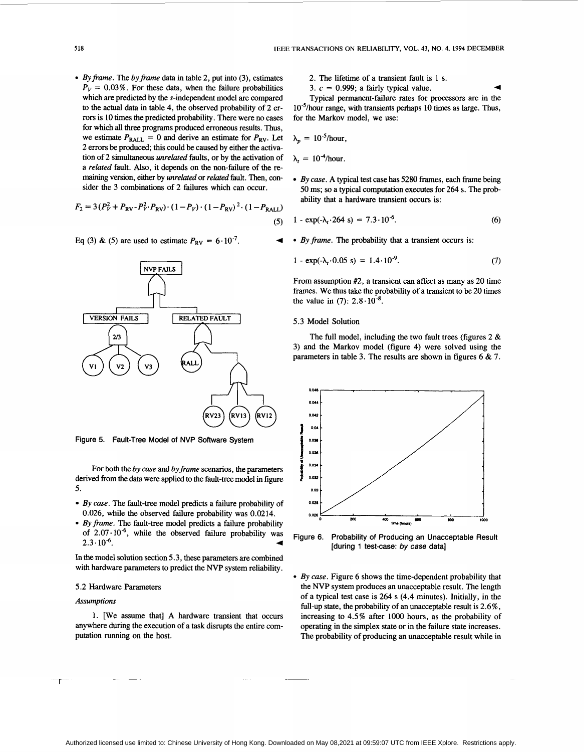*Byframe.* The *byframe* data in table **2,** put into **(3),** estimates  $P_V = 0.03\%$ . For these data, when the failure probabilities which are predicted by the s-independent model are compared to the actual data in table **4,** the observed probability of **2** errors is **10** times the predicted probability. There were no cases for which **all** three programs produced erroneous results. Thus, we estimate  $P_{\text{RALL}} = 0$  and derive an estimate for  $P_{\text{RV}}$ . Let 2 errors be produced; this could be caused by either the activation of 2 simultaneous *unrelated* faults, or by the activation of a *related* fault. Also, it depends on the non-failure of the remaining version, either by *unrelated* or *related* fault. Then, consider the **3** combinations of **2** failures which can occur.

$$
F_2 = 3(P_V^2 + P_{RV} - P_V^2 \cdot P_{RV}) \cdot (1 - P_V) \cdot (1 - P_{RV})^2 \cdot (1 - P_{RAL})
$$
\n(5)

#### *Eq* (3) & (5) are used to estimate  $P_{RV} = 6.10^{-7}$ .



**Figure 5. Fault-Tree Model of NVP Software System** 

For both the *by case* and *by frame* scenarios, the parameters derived from the data were applied to the fault-tree model in figure **5.** 

- *By case.* The fault-tree model predicts a failure probability of *0.026,* while the observed failure probability was **0.0214.**
- *Byframe.* The fault-tree model predicts a failure probability of  $2.07 \cdot 10^{-6}$ , while the observed failure probability was  $2.3 \cdot 10^{-6}$ .

In the model solution section **5.3,** these parameters are combined with hardware parameters to predict the NVP system reliability.

# **5.2** Hardware Parameters

#### *Assumptions*

 $\overline{1}$ 

1. [we assume that] A hardware transient that occurs anywhere during the execution of a task disrupts the entire computation running on the host.

**2.** The lifetime of a transient fault is 1 s.

3.  $c = 0.999$ ; a fairly typical value.

Typical permanent-failure rates for processors are in the 10<sup>-5</sup>/hour range, with transients perhaps 10 times as large. Thus, for the Markov model, we use:

**4** 

$$
\lambda_p = 10^{-5}/\text{hour},
$$

 $\lambda_r = 10^{-4}/h \text{our}.$ 

*By case.* A typical test case has **5280** frames, each frame being 50 ms; so a typical computation executes for **264** s. The probability that a hardware transient occurs is:

$$
1 - \exp(-\lambda_t \cdot 264 \text{ s}) = 7.3 \cdot 10^{-6}.
$$
 (6)

**4**  *By frame.* The probability that a transient occurs is:

$$
1 - \exp(-\lambda_t \cdot 0.05 \text{ s}) = 1.4 \cdot 10^{-9}.
$$
 (7)

From assumption #2, a transient can affect as many as **20** time frames. We thus take the probability of a transient to be *20* times the value in (7):  $2.8 \cdot 10^{-8}$ .

# **5.3** Model Solution

The full model, including the two fault trees [\(figures](#page-3-0) **2** & **3)** and the Markov model (figure **4)** were solved using the parameters in [table](#page-3-0) **3.** The results are shown in figures *6* & **7.** 



**Figure 6. Probability of Producing an Unacceptable Result [during 1 test-case:** *by* **case data]** 

*By case.* Figure *6* shows the time-dependent probability that the NVP system produces an unacceptable result. The length of a typical test case is **264** s **(4.4** minutes). Initially, in the full-up state, the probability of an unacceptable result is *2.6%,*  increasing to **4.5%** after **lo00** hours, as the probability of operating in the simplex state or in the failure state increases. The probability of producing an unacceptable result while in